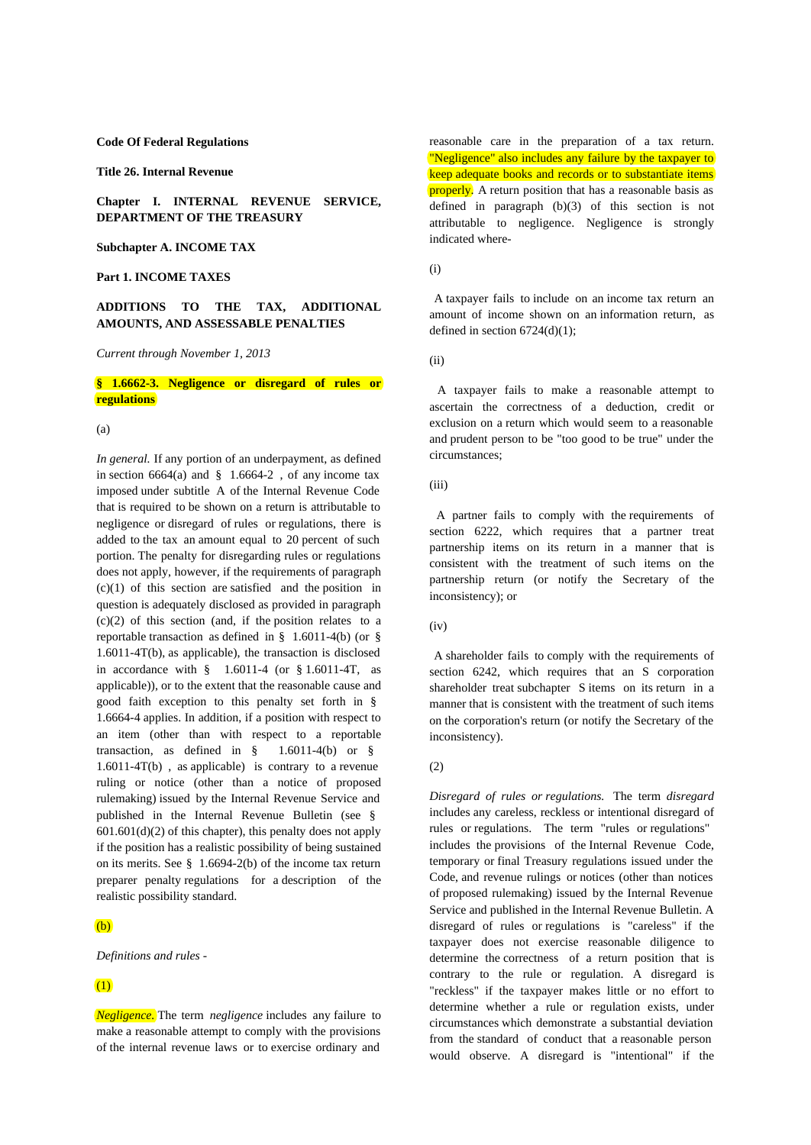#### **Code Of Federal Regulations**

**Title 26. Internal Revenue**

**Chapter I. INTERNAL REVENUE SERVICE, DEPARTMENT OF THE TREASURY**

**Subchapter A. INCOME TAX**

#### **Part 1. INCOME TAXES**

## **ADDITIONS TO THE TAX, ADDITIONAL AMOUNTS, AND ASSESSABLE PENALTIES**

*Current through November 1, 2013*

## **§ 1.6662-3. Negligence or disregard of rules or regulations**

 $(a)$ 

*In general.* If any portion of an underpayment, as defined in section  $6664(a)$  and § 1.6664-2, of any income tax imposed under subtitle A of the Internal Revenue Code that is required to be shown on a return is attributable to negligence or disregard of rules or regulations, there is added to the tax an amount equal to 20 percent of such portion. The penalty for disregarding rules or regulations does not apply, however, if the requirements of paragraph  $(c)(1)$  of this section are satisfied and the position in question is adequately disclosed as provided in paragraph  $(c)(2)$  of this section (and, if the position relates to a reportable transaction as defined in § 1.6011-4(b) (or § 1.6011-4T(b), as applicable), the transaction is disclosed in accordance with  $§$  1.6011-4 (or  $§$  1.6011-4T, as applicable)), or to the extent that the reasonable cause and good faith exception to this penalty set forth in § 1.6664-4 applies. In addition, if a position with respect to an item (other than with respect to a reportable transaction, as defined in  $\S$  1.6011-4(b) or  $\S$ 1.6011-4T(b) , as applicable) is contrary to a revenue ruling or notice (other than a notice of proposed rulemaking) issued by the Internal Revenue Service and published in the Internal Revenue Bulletin (see §  $601.601(d)(2)$  of this chapter), this penalty does not apply if the position has a realistic possibility of being sustained on its merits. See § 1.6694-2(b) of the income tax return preparer penalty regulations for a description of the realistic possibility standard.

## $(h)$

*Definitions and rules* -

## (1)

*Negligence.* The term *negligence* includes any failure to make a reasonable attempt to comply with the provisions of the internal revenue laws or to exercise ordinary and reasonable care in the preparation of a tax return. "Negligence" also includes any failure by the taxpayer to keep adequate books and records or to substantiate items properly. A return position that has a reasonable basis as defined in paragraph  $(b)(3)$  of this section is not attributable to negligence. Negligence is strongly indicated where-

(i)

A taxpayer fails to include on an income tax return an amount of income shown on an information return, as defined in section 6724(d)(1);

(ii)

A taxpayer fails to make a reasonable attempt to ascertain the correctness of a deduction, credit or exclusion on a return which would seem to a reasonable and prudent person to be "too good to be true" under the circumstances;

(iii)

A partner fails to comply with the requirements of section 6222, which requires that a partner treat partnership items on its return in a manner that is consistent with the treatment of such items on the partnership return (or notify the Secretary of the inconsistency); or

### $(iv)$

A shareholder fails to comply with the requirements of section 6242, which requires that an S corporation shareholder treat subchapter S items on its return in a manner that is consistent with the treatment of such items on the corporation's return (or notify the Secretary of the inconsistency).

#### (2)

*Disregard of rules or regulations.* The term *disregard* includes any careless, reckless or intentional disregard of rules or regulations. The term "rules or regulations" includes the provisions of the Internal Revenue Code, temporary or final Treasury regulations issued under the Code, and revenue rulings or notices (other than notices of proposed rulemaking) issued by the Internal Revenue Service and published in the Internal Revenue Bulletin. A disregard of rules or regulations is "careless" if the taxpayer does not exercise reasonable diligence to determine the correctness of a return position that is contrary to the rule or regulation. A disregard is "reckless" if the taxpayer makes little or no effort to determine whether a rule or regulation exists, under circumstances which demonstrate a substantial deviation from the standard of conduct that a reasonable person would observe. A disregard is "intentional" if the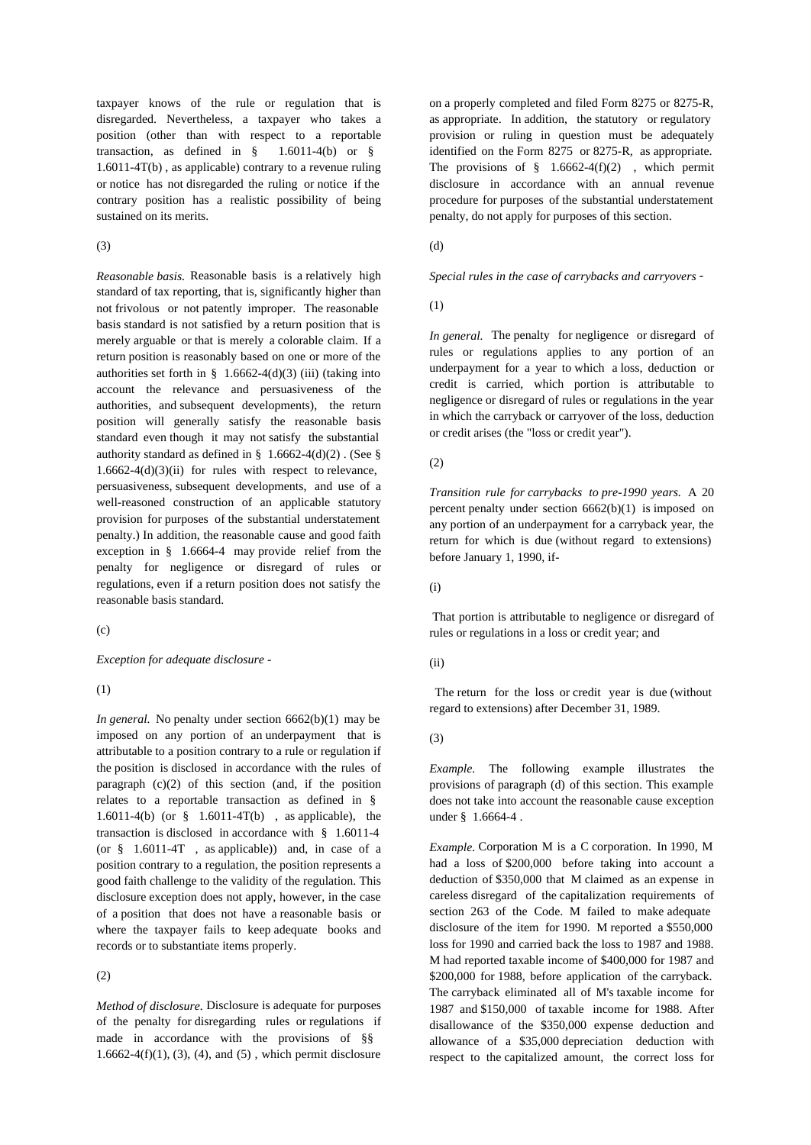taxpayer knows of the rule or regulation that is disregarded. Nevertheless, a taxpayer who takes a position (other than with respect to a reportable transaction, as defined in  $\S$  1.6011-4(b) or  $\S$ 1.6011-4T(b) , as applicable) contrary to a revenue ruling or notice has not disregarded the ruling or notice if the contrary position has a realistic possibility of being sustained on its merits.

#### $(3)$

*Reasonable basis.* Reasonable basis is a relatively high standard of tax reporting, that is, significantly higher than not frivolous or not patently improper. The reasonable basis standard is not satisfied by a return position that is merely arguable or that is merely a colorable claim. If a return position is reasonably based on one or more of the authorities set forth in  $\S$  1.6662-4(d)(3) (iii) (taking into account the relevance and persuasiveness of the authorities, and subsequent developments), the return position will generally satisfy the reasonable basis standard even though it may not satisfy the substantial authority standard as defined in §  $1.6662-4(d)(2)$ . (See §  $1.6662-4(d)(3)(ii)$  for rules with respect to relevance, persuasiveness, subsequent developments, and use of a well-reasoned construction of an applicable statutory provision for purposes of the substantial understatement penalty.) In addition, the reasonable cause and good faith exception in § 1.6664-4 may provide relief from the penalty for negligence or disregard of rules or regulations, even if a return position does not satisfy the reasonable basis standard.

 $(c)$ 

*Exception for adequate disclosure* -

(1)

*In general.* No penalty under section 6662(b)(1) may be imposed on any portion of an underpayment that is attributable to a position contrary to a rule or regulation if the position is disclosed in accordance with the rules of paragraph (c)(2) of this section (and, if the position relates to a reportable transaction as defined in § 1.6011-4(b) (or § 1.6011-4T(b) , as applicable), the transaction is disclosed in accordance with § 1.6011-4 (or § 1.6011-4T , as applicable)) and, in case of a position contrary to a regulation, the position represents a good faith challenge to the validity of the regulation. This disclosure exception does not apply, however, in the case of a position that does not have a reasonable basis or where the taxpayer fails to keep adequate books and records or to substantiate items properly.

(2)

*Method of disclosure.* Disclosure is adequate for purposes of the penalty for disregarding rules or regulations if made in accordance with the provisions of §§  $1.6662-4(f)(1)$ ,  $(3)$ ,  $(4)$ , and  $(5)$ , which permit disclosure

on a properly completed and filed Form 8275 or 8275-R, as appropriate. In addition, the statutory or regulatory provision or ruling in question must be adequately identified on the Form 8275 or 8275-R, as appropriate. The provisions of  $§$  1.6662-4(f)(2), which permit disclosure in accordance with an annual revenue procedure for purposes of the substantial understatement penalty, do not apply for purposes of this section.

### (d)

*Special rules in the case of carrybacks and carryovers* -

### (1)

*In general.* The penalty for negligence or disregard of rules or regulations applies to any portion of an underpayment for a year to which a loss, deduction or credit is carried, which portion is attributable to negligence or disregard of rules or regulations in the year in which the carryback or carryover of the loss, deduction or credit arises (the "loss or credit year").

### (2)

*Transition rule for carrybacks to pre-1990 years.* A 20 percent penalty under section 6662(b)(1) is imposed on any portion of an underpayment for a carryback year, the return for which is due (without regard to extensions) before January 1, 1990, if-

(i)

 That portion is attributable to negligence or disregard of rules or regulations in a loss or credit year; and

### (ii)

The return for the loss or credit year is due (without regard to extensions) after December 31, 1989.

#### (3)

*Example.* The following example illustrates the provisions of paragraph (d) of this section. This example does not take into account the reasonable cause exception under § 1.6664-4.

*Example.* Corporation M is a C corporation. In 1990, M had a loss of \$200,000 before taking into account a deduction of \$350,000 that M claimed as an expense in careless disregard of the capitalization requirements of section 263 of the Code. M failed to make adequate disclosure of the item for 1990. M reported a \$550,000 loss for 1990 and carried back the loss to 1987 and 1988. M had reported taxable income of \$400,000 for 1987 and \$200,000 for 1988, before application of the carryback. The carryback eliminated all of M's taxable income for 1987 and \$150,000 of taxable income for 1988. After disallowance of the \$350,000 expense deduction and allowance of a \$35,000 depreciation deduction with respect to the capitalized amount, the correct loss for